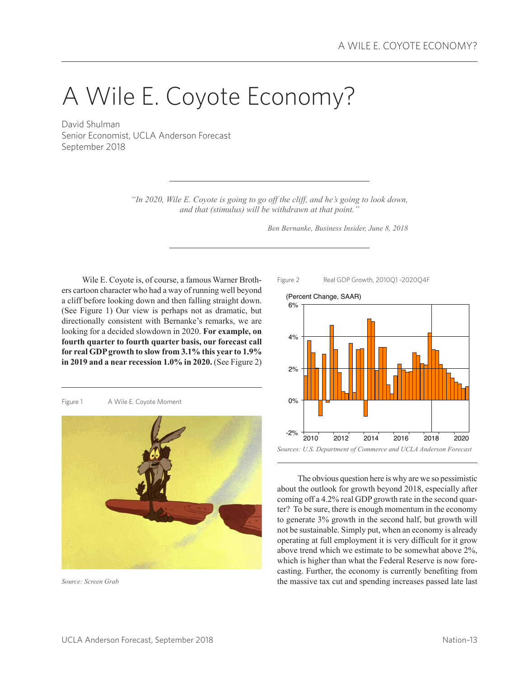# A Wile E. Coyote Economy?

David Shulman Senior Economist, UCLA Anderson Forecast September 2018

> *"In 2020, Wile E. Coyote is going to go off the cliff, and he's going to look down, and that (stimulus) will be withdrawn at that point."*

> > *Ben Bernanke, Business Insider, June 8, 2018*

Wile E. Coyote is, of course, a famous Warner Brothers cartoon character who had a way of running well beyond a cliff before looking down and then falling straight down. (See Figure 1) Our view is perhaps not as dramatic, but directionally consistent with Bernanke's remarks, we are looking for a decided slowdown in 2020. **For example, on fourth quarter to fourth quarter basis, our forecast call for real GDP growth to slow from 3.1% this year to 1.9% in 2019 and a near recession 1.0% in 2020.** (See Figure 2)

Figure 1 A Wile E. Coyote Moment



*Source: Screen Grab*





The obvious question here is why are we so pessimistic about the outlook for growth beyond 2018, especially after coming off a 4.2% real GDP growth rate in the second quarter? To be sure, there is enough momentum in the economy to generate 3% growth in the second half, but growth will not be sustainable. Simply put, when an economy is already operating at full employment it is very difficult for it grow above trend which we estimate to be somewhat above 2%, which is higher than what the Federal Reserve is now forecasting. Further, the economy is currently benefiting from the massive tax cut and spending increases passed late last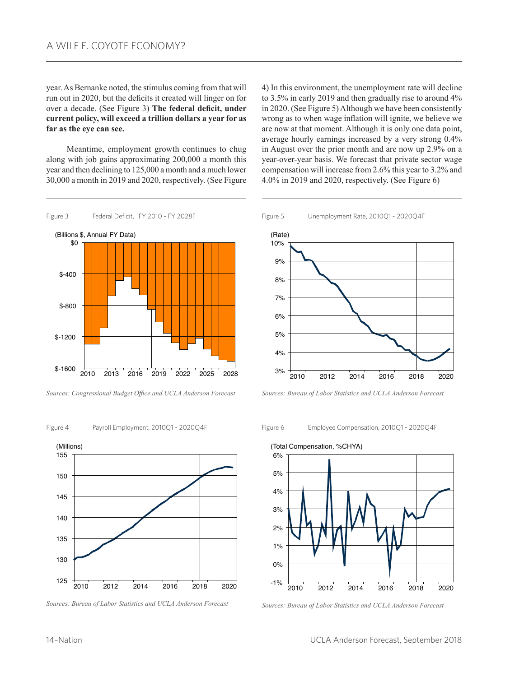year. As Bernanke noted, the stimulus coming from that will run out in 2020, but the deficits it created will linger on for over a decade. (See Figure 3) **The federal deficit, under current policy, will exceed a trillion dollars a year for as far as the eye can see.**

Meantime, employment growth continues to chug along with job gains approximating 200,000 a month this year and then declining to 125,000 a month and a much lower 30,000 a month in 2019 and 2020, respectively. (See Figure

4) In this environment, the unemployment rate will decline to 3.5% in early 2019 and then gradually rise to around 4% in 2020. (See Figure 5) Although we have been consistently wrong as to when wage inflation will ignite, we believe we are now at that moment. Although it is only one data point, average hourly earnings increased by a very strong 0.4% in August over the prior month and are now up 2.9% on a year-over-year basis. We forecast that private sector wage compensation will increase from 2.6% this year to 3.2% and 4.0% in 2019 and 2020, respectively. (See Figure 6)



*Sources: Congressional Budget Office and UCLA Anderson Forecast*

#### Figure 4 Payroll Employment, 2010Q1 - 2020Q4F



*Sources: Bureau of Labor Statistics and UCLA Anderson Forecast*

Figure 5 Unemployment Rate, 2010Q1 - 2020Q4F



*Sources: Bureau of Labor Statistics and UCLA Anderson Forecast*

Figure 6 Employee Compensation, 2010Q1 - 2020Q4F





*Sources: Bureau of Labor Statistics and UCLA Anderson Forecast*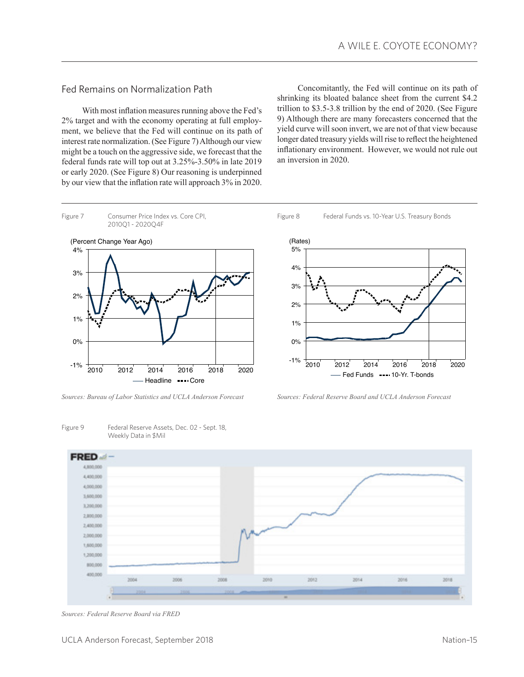## Fed Remains on Normalization Path

With most inflation measures running above the Fed's 2% target and with the economy operating at full employment, we believe that the Fed will continue on its path of interest rate normalization. (See Figure 7) Although our view might be a touch on the aggressive side, we forecast that the federal funds rate will top out at 3.25%-3.50% in late 2019 or early 2020. (See Figure 8) Our reasoning is underpinned by our view that the inflation rate will approach 3% in 2020.

Concomitantly, the Fed will continue on its path of shrinking its bloated balance sheet from the current \$4.2 trillion to \$3.5-3.8 trillion by the end of 2020. (See Figure 9) Although there are many forecasters concerned that the yield curve will soon invert, we are not of that view because longer dated treasury yields will rise to reflect the heightened inflationary environment. However, we would not rule out an inversion in 2020.



*Sources: Bureau of Labor Statistics and UCLA Anderson Forecast Sources: Federal Reserve Board and UCLA Anderson Forecast*

Figure 9 Federal Reserve Assets, Dec. 02 - Sept. 18, Weekly Data in \$Mil



*Sources: Federal Reserve Board via FRED*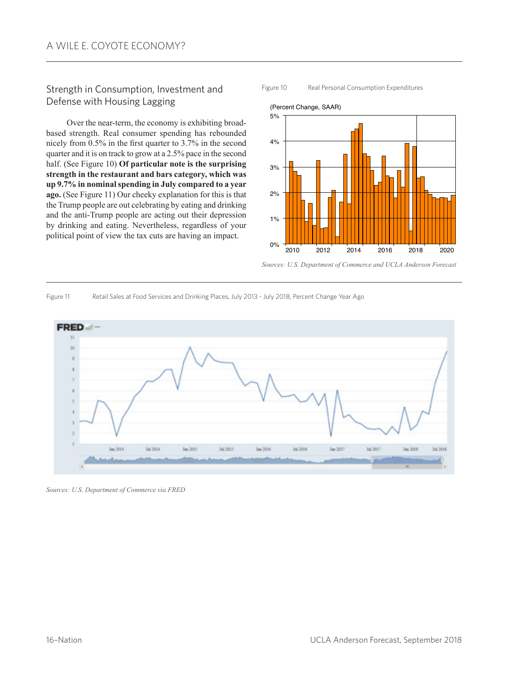## Strength in Consumption, Investment and Defense with Housing Lagging

Over the near-term, the economy is exhibiting broadbased strength. Real consumer spending has rebounded nicely from 0.5% in the first quarter to 3.7% in the second quarter and it is on track to grow at a 2.5% pace in the second half. (See Figure 10) **Of particular note is the surprising strength in the restaurant and bars category, which was up 9.7% in nominal spending in July compared to a year ago.** (See Figure 11) Our cheeky explanation for this is that the Trump people are out celebrating by eating and drinking and the anti-Trump people are acting out their depression by drinking and eating. Nevertheless, regardless of your political point of view the tax cuts are having an impact.



Figure 10 Real Personal Consumption Expenditures

*Sources: U.S. Department of Commerce and UCLA Anderson Forecast*

Figure 11 Retail Sales at Food Services and Drinking Places, July 2013 - July 2018, Percent Change Year Ago



*Sources: U.S. Department of Commerce via FRED*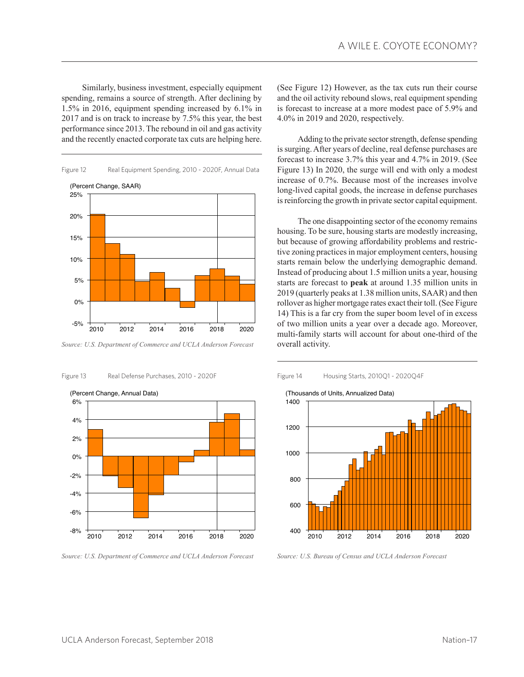Similarly, business investment, especially equipment spending, remains a source of strength. After declining by 1.5% in 2016, equipment spending increased by 6.1% in 2017 and is on track to increase by 7.5% this year, the best performance since 2013. The rebound in oil and gas activity and the recently enacted corporate tax cuts are helping here.



*Source: U.S. Department of Commerce and UCLA Anderson Forecast*

Figure 13 Real Defense Purchases, 2010 - 2020F



*Source: U.S. Department of Commerce and UCLA Anderson Forecast*

(See Figure 12) However, as the tax cuts run their course and the oil activity rebound slows, real equipment spending is forecast to increase at a more modest pace of 5.9% and 4.0% in 2019 and 2020, respectively.

Adding to the private sector strength, defense spending is surging. After years of decline, real defense purchases are forecast to increase 3.7% this year and 4.7% in 2019. (See Figure 13) In 2020, the surge will end with only a modest increase of 0.7%. Because most of the increases involve long-lived capital goods, the increase in defense purchases is reinforcing the growth in private sector capital equipment.

The one disappointing sector of the economy remains housing. To be sure, housing starts are modestly increasing, but because of growing affordability problems and restrictive zoning practices in major employment centers, housing starts remain below the underlying demographic demand. Instead of producing about 1.5 million units a year, housing starts are forecast to **peak** at around 1.35 million units in 2019 (quarterly peaks at 1.38 million units, SAAR) and then rollover as higher mortgage rates exact their toll. (See Figure 14) This is a far cry from the super boom level of in excess of two million units a year over a decade ago. Moreover, multi-family starts will account for about one-third of the overall activity.





*Source: U.S. Bureau of Census and UCLA Anderson Forecast*